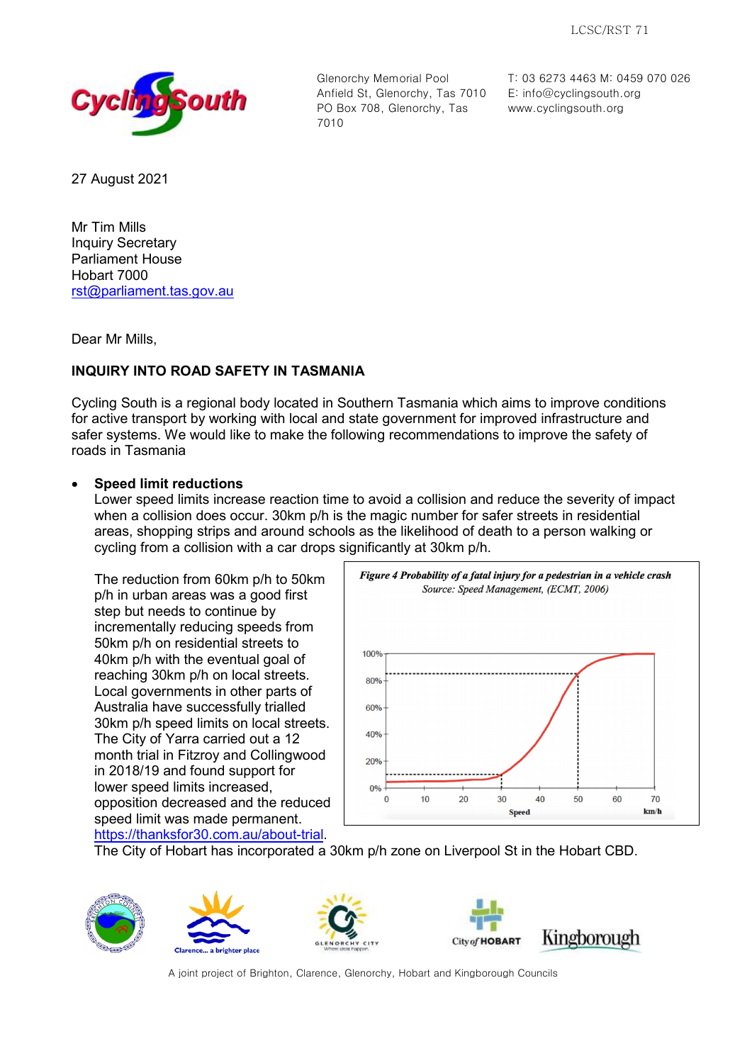

Glenorchy Memorial Pool Anfield St, Glenorchy, Tas 7010 PO Box 708, Glenorchy, Tas 7010

T: 03 6273 4463 M: 0459 070 026 E: [info@cyclingsouth.org](mailto:info@cyclingsouth.org) www.cyclingsouth.org

27 August 2021

Mr Tim Mills Inquiry Secretary Parliament House Hobart 7000 [rst@parliament.tas.gov.au](mailto:rst@parliament.tas.gov.au)

Dear Mr Mills,

## **INQUIRY INTO ROAD SAFETY IN TASMANIA**

Cycling South is a regional body located in Southern Tasmania which aims to improve conditions for active transport by working with local and state government for improved infrastructure and safer systems. We would like to make the following recommendations to improve the safety of roads in Tasmania

## • **Speed limit reductions**

Lower speed limits increase reaction time to avoid a collision and reduce the severity of impact when a collision does occur. 30km p/h is the magic number for safer streets in residential areas, shopping strips and around schools as the likelihood of death to a person walking or cycling from a collision with a car drops significantly at 30km p/h.

The reduction from 60km p/h to 50km p/h in urban areas was a good first step but needs to continue by incrementally reducing speeds from 50km p/h on residential streets to 40km p/h with the eventual goal of reaching 30km p/h on local streets. Local governments in other parts of Australia have successfully trialled 30km p/h speed limits on local streets. The City of Yarra carried out a 12 month trial in Fitzroy and Collingwood in 2018/19 and found support for lower speed limits increased, opposition decreased and the reduced speed limit was made permanent. [https://thanksfor30.com.au/about-trial.](https://thanksfor30.com.au/about-trial)



The City of Hobart has incorporated a 30km p/h zone on Liverpool St in the Hobart CBD.









A joint project of Brighton, Clarence, Glenorchy, Hobart and Kingborough Councils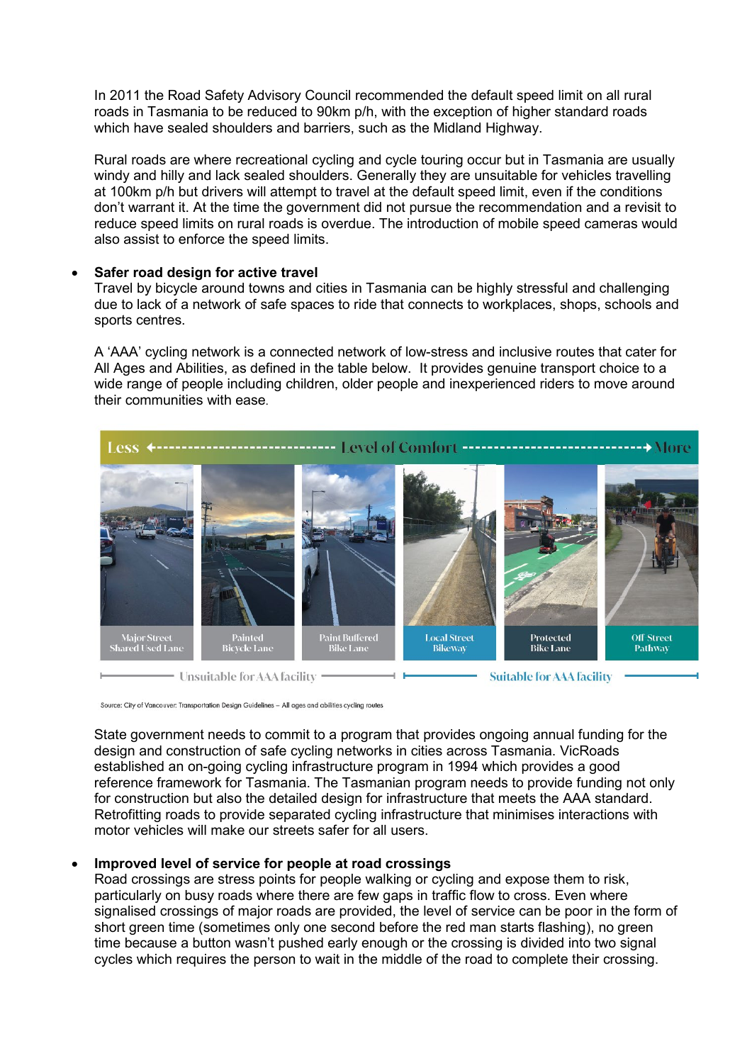In 2011 the Road Safety Advisory Council recommended the default speed limit on all rural roads in Tasmania to be reduced to 90km p/h, with the exception of higher standard roads which have sealed shoulders and barriers, such as the Midland Highway.

Rural roads are where recreational cycling and cycle touring occur but in Tasmania are usually windy and hilly and lack sealed shoulders. Generally they are unsuitable for vehicles travelling at 100km p/h but drivers will attempt to travel at the default speed limit, even if the conditions don't warrant it. At the time the government did not pursue the recommendation and a revisit to reduce speed limits on rural roads is overdue. The introduction of mobile speed cameras would also assist to enforce the speed limits.

## • **Safer road design for active travel**

Travel by bicycle around towns and cities in Tasmania can be highly stressful and challenging due to lack of a network of safe spaces to ride that connects to workplaces, shops, schools and sports centres.

A 'AAA' cycling network is a connected network of low-stress and inclusive routes that cater for All Ages and Abilities, as defined in the table below. It provides genuine transport choice to a wide range of people including children, older people and inexperienced riders to move around their communities with ease.



Source: City of Vancouver: Transportation Design Guidelines - All ages and abilities cycling routes

State government needs to commit to a program that provides ongoing annual funding for the design and construction of safe cycling networks in cities across Tasmania. VicRoads established an on-going cycling infrastructure program in 1994 which provides a good reference framework for Tasmania. The Tasmanian program needs to provide funding not only for construction but also the detailed design for infrastructure that meets the AAA standard. Retrofitting roads to provide separated cycling infrastructure that minimises interactions with motor vehicles will make our streets safer for all users.

## • **Improved level of service for people at road crossings**

Road crossings are stress points for people walking or cycling and expose them to risk, particularly on busy roads where there are few gaps in traffic flow to cross. Even where signalised crossings of major roads are provided, the level of service can be poor in the form of short green time (sometimes only one second before the red man starts flashing), no green time because a button wasn't pushed early enough or the crossing is divided into two signal cycles which requires the person to wait in the middle of the road to complete their crossing.